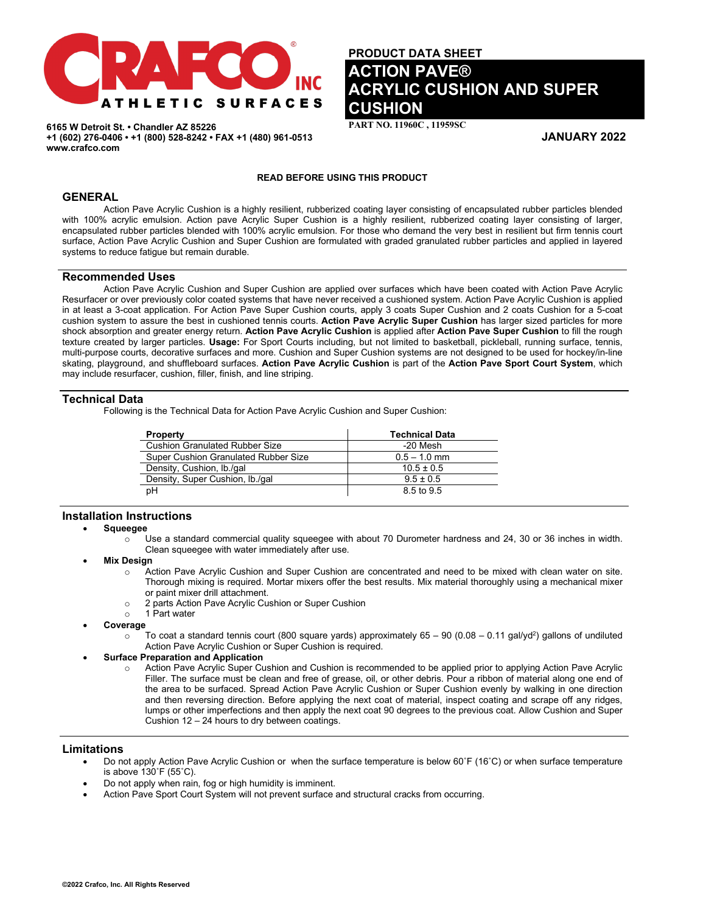

**6165 W Detroit St. • Chandler AZ 85226 +1 (602) 276-0406 • +1 (800) 528-8242 • FAX +1 (480) 961-0513 www.crafco.com**

# **PRODUCT DATA SHEET ACTION PAVE® ACRYLIC CUSHION AND SUPER CUSHION**

**PART NO. 11960C , 11959SC** 

**JANUARY 2022**

# **READ BEFORE USING THIS PRODUCT**

# **GENERAL**

Action Pave Acrylic Cushion is a highly resilient, rubberized coating layer consisting of encapsulated rubber particles blended with 100% acrylic emulsion. Action pave Acrylic Super Cushion is a highly resilient, rubberized coating layer consisting of larger, encapsulated rubber particles blended with 100% acrylic emulsion. For those who demand the very best in resilient but firm tennis court surface, Action Pave Acrylic Cushion and Super Cushion are formulated with graded granulated rubber particles and applied in layered systems to reduce fatigue but remain durable.

# **Recommended Uses**

Action Pave Acrylic Cushion and Super Cushion are applied over surfaces which have been coated with Action Pave Acrylic Resurfacer or over previously color coated systems that have never received a cushioned system. Action Pave Acrylic Cushion is applied in at least a 3-coat application. For Action Pave Super Cushion courts, apply 3 coats Super Cushion and 2 coats Cushion for a 5-coat cushion system to assure the best in cushioned tennis courts. **Action Pave Acrylic Super Cushion** has larger sized particles for more shock absorption and greater energy return. **Action Pave Acrylic Cushion** is applied after **Action Pave Super Cushion** to fill the rough texture created by larger particles. **Usage:** For Sport Courts including, but not limited to basketball, pickleball, running surface, tennis, multi-purpose courts, decorative surfaces and more. Cushion and Super Cushion systems are not designed to be used for hockey/in-line skating, playground, and shuffleboard surfaces. **Action Pave Acrylic Cushion** is part of the **Action Pave Sport Court System**, which may include resurfacer, cushion, filler, finish, and line striping.

# **Technical Data**

Following is the Technical Data for Action Pave Acrylic Cushion and Super Cushion:

| <b>Property</b>                             | <b>Technical Data</b> |
|---------------------------------------------|-----------------------|
| <b>Cushion Granulated Rubber Size</b>       | -20 Mesh              |
| <b>Super Cushion Granulated Rubber Size</b> | $0.5 - 1.0$ mm        |
| Density, Cushion, Ib./gal                   | $10.5 \pm 0.5$        |
| Density, Super Cushion, lb./gal             | $9.5 \pm 0.5$         |
| рH                                          | 8.5 to 9.5            |

# **Installation Instructions**

### • **Squeegee**

- $\circ$  Use a standard commercial quality squeegee with about 70 Durometer hardness and 24, 30 or 36 inches in width. Clean squeegee with water immediately after use.
- **Mix Design** 
	- o Action Pave Acrylic Cushion and Super Cushion are concentrated and need to be mixed with clean water on site. Thorough mixing is required. Mortar mixers offer the best results. Mix material thoroughly using a mechanical mixer or paint mixer drill attachment.
	- o 2 parts Action Pave Acrylic Cushion or Super Cushion<br>o 1 Part water
	- 1 Part water
- **Coverage**
	- $\circ$  To coat a standard tennis court (800 square yards) approximately 65 90 (0.08 0.11 gal/yd<sup>2</sup>) gallons of undiluted Action Pave Acrylic Cushion or Super Cushion is required.

# • **Surface Preparation and Application**

Action Pave Acrylic Super Cushion and Cushion is recommended to be applied prior to applying Action Pave Acrylic Filler. The surface must be clean and free of grease, oil, or other debris. Pour a ribbon of material along one end of the area to be surfaced. Spread Action Pave Acrylic Cushion or Super Cushion evenly by walking in one direction and then reversing direction. Before applying the next coat of material, inspect coating and scrape off any ridges, lumps or other imperfections and then apply the next coat 90 degrees to the previous coat. Allow Cushion and Super Cushion 12 – 24 hours to dry between coatings.

# **Limitations**

- Do not apply Action Pave Acrylic Cushion or when the surface temperature is below 60˚F (16˚C) or when surface temperature is above 130˚F (55˚C).
- Do not apply when rain, fog or high humidity is imminent.
- Action Pave Sport Court System will not prevent surface and structural cracks from occurring.